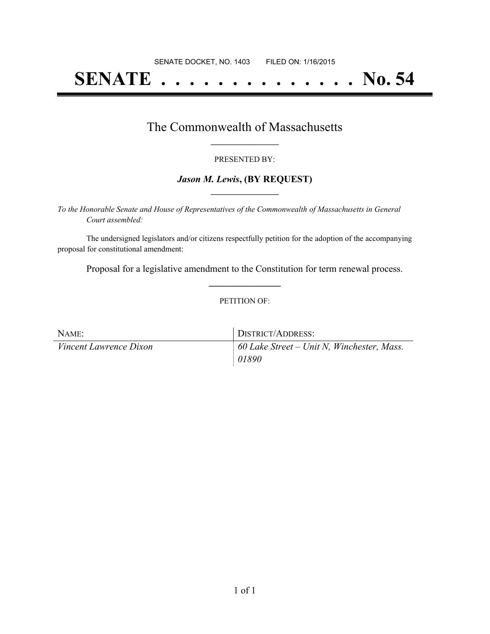# **SENATE . . . . . . . . . . . . . . No. 54**

### The Commonwealth of Massachusetts **\_\_\_\_\_\_\_\_\_\_\_\_\_\_\_\_\_**

#### PRESENTED BY:

#### *Jason M. Lewis***, (BY REQUEST) \_\_\_\_\_\_\_\_\_\_\_\_\_\_\_\_\_**

*To the Honorable Senate and House of Representatives of the Commonwealth of Massachusetts in General Court assembled:*

The undersigned legislators and/or citizens respectfully petition for the adoption of the accompanying proposal for constitutional amendment:

Proposal for a legislative amendment to the Constitution for term renewal process. **\_\_\_\_\_\_\_\_\_\_\_\_\_\_\_**

#### PETITION OF:

| NAME:                         | DISTRICT/ADDRESS:                                        |
|-------------------------------|----------------------------------------------------------|
| <i>Vincent Lawrence Dixon</i> | $\frac{1}{2}$ 60 Lake Street – Unit N, Winchester, Mass. |
|                               | 01890                                                    |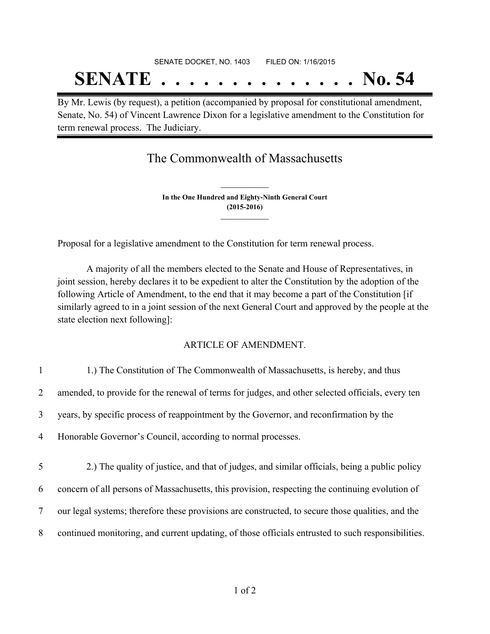## SENATE DOCKET, NO. 1403 FILED ON: 1/16/2015 **SENATE . . . . . . . . . . . . . . No. 54**

By Mr. Lewis (by request), a petition (accompanied by proposal for constitutional amendment, Senate, No. 54) of Vincent Lawrence Dixon for a legislative amendment to the Constitution for term renewal process. The Judiciary.

The Commonwealth of Massachusetts

**In the One Hundred and Eighty-Ninth General Court (2015-2016) \_\_\_\_\_\_\_\_\_\_\_\_\_\_\_**

**\_\_\_\_\_\_\_\_\_\_\_\_\_\_\_**

Proposal for a legislative amendment to the Constitution for term renewal process.

A majority of all the members elected to the Senate and House of Representatives, in joint session, hereby declares it to be expedient to alter the Constitution by the adoption of the following Article of Amendment, to the end that it may become a part of the Constitution [if similarly agreed to in a joint session of the next General Court and approved by the people at the state election next following]:

#### ARTICLE OF AMENDMENT.

| $\mathbf{1}$   | 1.) The Constitution of The Commonwealth of Massachusetts, is hereby, and thus                     |
|----------------|----------------------------------------------------------------------------------------------------|
| $\overline{2}$ | amended, to provide for the renewal of terms for judges, and other selected officials, every ten   |
| 3              | years, by specific process of reappointment by the Governor, and reconfirmation by the             |
| 4              | Honorable Governor's Council, according to normal processes.                                       |
|                |                                                                                                    |
| 5              | 2.) The quality of justice, and that of judges, and similar officials, being a public policy       |
| 6              | concern of all persons of Massachusetts, this provision, respecting the continuing evolution of    |
| $\tau$         | our legal systems; therefore these provisions are constructed, to secure those qualities, and the  |
| 8              | continued monitoring, and current updating, of those officials entrusted to such responsibilities. |